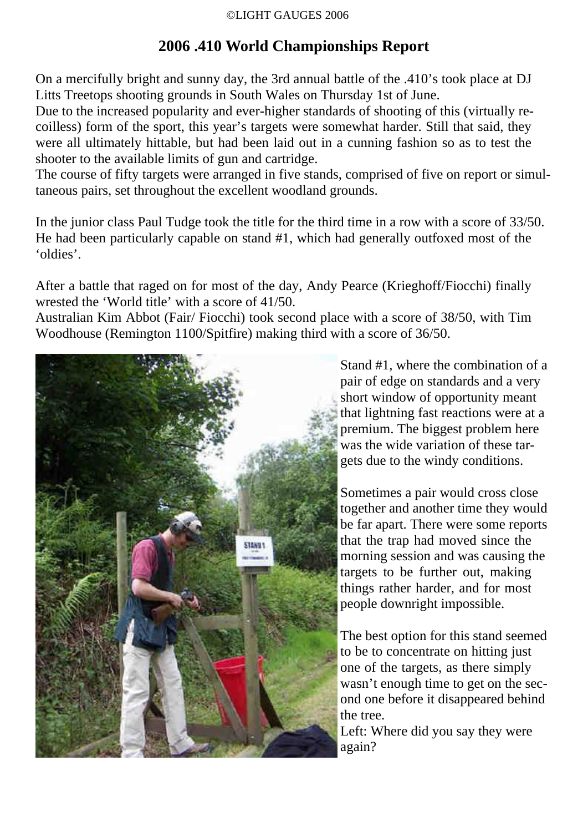# **2006 .410 World Championships Report**

On a mercifully bright and sunny day, the 3rd annual battle of the .410's took place at DJ Litts Treetops shooting grounds in South Wales on Thursday 1st of June.

Due to the increased popularity and ever-higher standards of shooting of this (virtually recoilless) form of the sport, this year's targets were somewhat harder. Still that said, they were all ultimately hittable, but had been laid out in a cunning fashion so as to test the shooter to the available limits of gun and cartridge.

The course of fifty targets were arranged in five stands, comprised of five on report or simultaneous pairs, set throughout the excellent woodland grounds.

In the junior class Paul Tudge took the title for the third time in a row with a score of 33/50. He had been particularly capable on stand #1, which had generally outfoxed most of the 'oldies'.

After a battle that raged on for most of the day, Andy Pearce (Krieghoff/Fiocchi) finally wrested the 'World title' with a score of 41/50.

Australian Kim Abbot (Fair/ Fiocchi) took second place with a score of 38/50, with Tim Woodhouse (Remington 1100/Spitfire) making third with a score of 36/50.



Stand #1, where the combination of a pair of edge on standards and a very short window of opportunity meant that lightning fast reactions were at a premium. The biggest problem here was the wide variation of these targets due to the windy conditions.

Sometimes a pair would cross close together and another time they would be far apart. There were some reports that the trap had moved since the morning session and was causing the targets to be further out, making things rather harder, and for most people downright impossible.

The best option for this stand seemed to be to concentrate on hitting just one of the targets, as there simply wasn't enough time to get on the second one before it disappeared behind the tree.

Left: Where did you say they were again?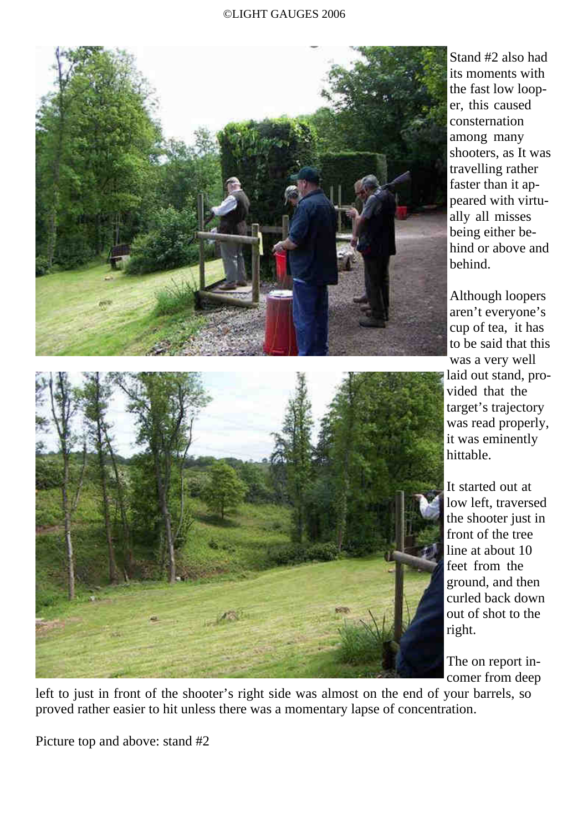

Stand #2 also had its moments with the fast low looper, this caused consternation among many shooters, as It was travelling rather faster than it appeared with virtually all misses being either behind or above and behind.

Although loopers aren't everyone's cup of tea, it has to be said that this was a very well laid out stand, provided that the target's trajectory was read properly, it was eminently hittable.

It started out at low left, traversed the shooter just in front of the tree line at about 10 feet from the ground, and then curled back down out of shot to the right.

The on report incomer from deep

left to just in front of the shooter's right side was almost on the end of your barrels, so proved rather easier to hit unless there was a momentary lapse of concentration.

Picture top and above: stand #2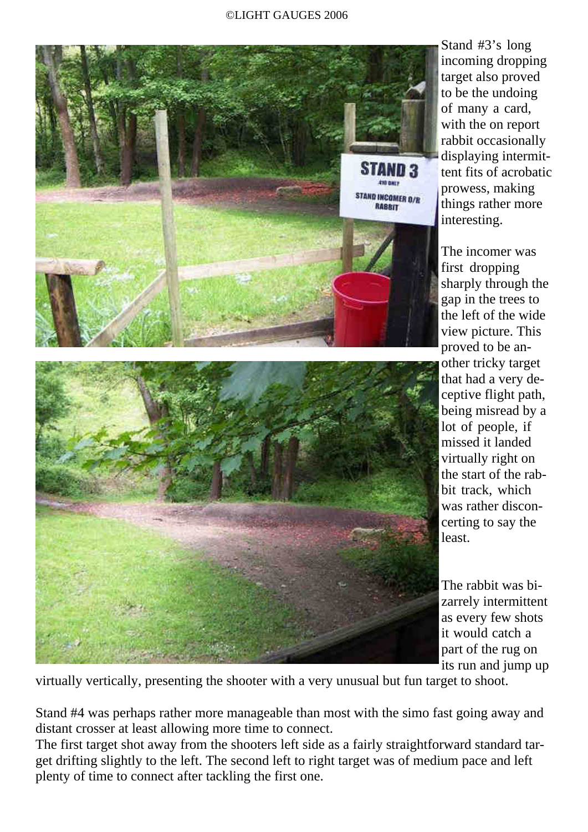

Stand #3's long incoming dropping target also proved to be the undoing of many a card, with the on report rabbit occasionally displaying intermittent fits of acrobatic prowess, making things rather more interesting.

The incomer was first dropping sharply through the gap in the trees to the left of the wide view picture. This proved to be another tricky target that had a very deceptive flight path, being misread by a lot of people, if missed it landed virtually right on the start of the rabbit track, which was rather disconcerting to say the least.

The rabbit was bizarrely intermittent as every few shots it would catch a part of the rug on its run and jump up

virtually vertically, presenting the shooter with a very unusual but fun target to shoot.

Stand #4 was perhaps rather more manageable than most with the simo fast going away and distant crosser at least allowing more time to connect.

The first target shot away from the shooters left side as a fairly straightforward standard target drifting slightly to the left. The second left to right target was of medium pace and left plenty of time to connect after tackling the first one.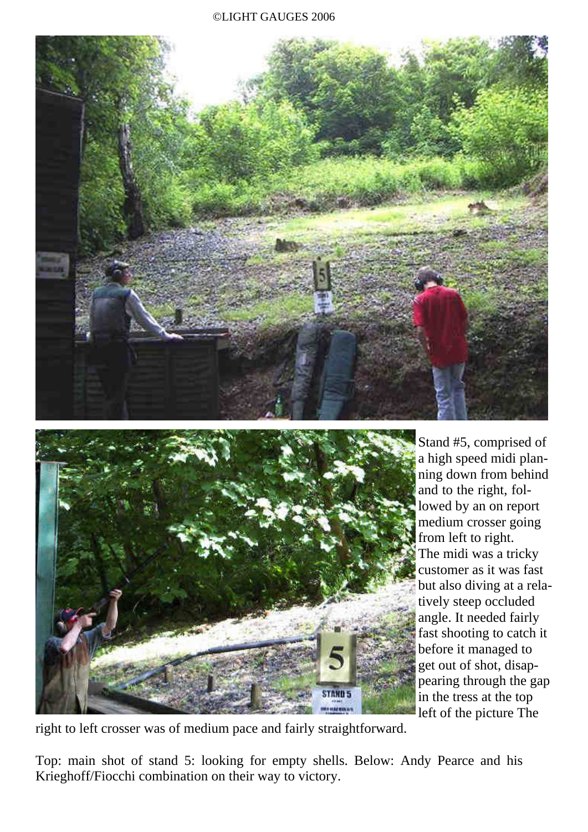



Stand #5, comprised of a high speed midi planning down from behind and to the right, followed by an on report medium crosser going from left to right. The midi was a tricky customer as it was fast but also diving at a relatively steep occluded angle. It needed fairly fast shooting to catch it before it managed to get out of shot, disappearing through the gap in the tress at the top left of the picture The

right to left crosser was of medium pace and fairly straightforward.

Top: main shot of stand 5: looking for empty shells. Below: Andy Pearce and his Krieghoff/Fiocchi combination on their way to victory.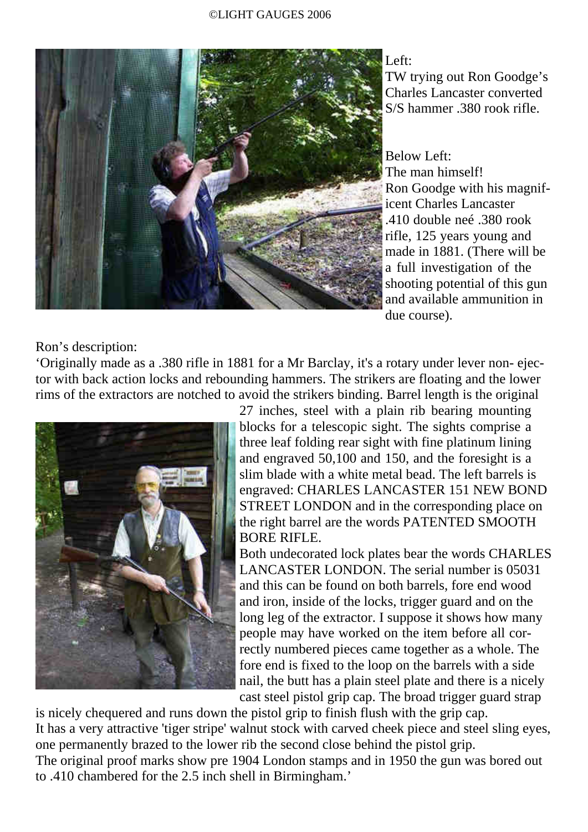

Left:

TW trying out Ron Goodge's Charles Lancaster converted S/S hammer .380 rook rifle.

Below Left: The man himself! Ron Goodge with his magnificent Charles Lancaster .410 double neé .380 rook rifle, 125 years young and made in 1881. (There will be a full investigation of the shooting potential of this gun and available ammunition in due course).

Ron's description:

'Originally made as a .380 rifle in 1881 for a Mr Barclay, it's a rotary under lever non- ejector with back action locks and rebounding hammers. The strikers are floating and the lower rims of the extractors are notched to avoid the strikers binding. Barrel length is the original



27 inches, steel with a plain rib bearing mounting blocks for a telescopic sight. The sights comprise a three leaf folding rear sight with fine platinum lining and engraved 50,100 and 150, and the foresight is a slim blade with a white metal bead. The left barrels is engraved: CHARLES LANCASTER 151 NEW BOND STREET LONDON and in the corresponding place on the right barrel are the words PATENTED SMOOTH BORE RIFLE.

Both undecorated lock plates bear the words CHARLES LANCASTER LONDON. The serial number is 05031 and this can be found on both barrels, fore end wood and iron, inside of the locks, trigger guard and on the long leg of the extractor. I suppose it shows how many people may have worked on the item before all correctly numbered pieces came together as a whole. The fore end is fixed to the loop on the barrels with a side nail, the butt has a plain steel plate and there is a nicely cast steel pistol grip cap. The broad trigger guard strap

is nicely chequered and runs down the pistol grip to finish flush with the grip cap. It has a very attractive 'tiger stripe' walnut stock with carved cheek piece and steel sling eyes, one permanently brazed to the lower rib the second close behind the pistol grip. The original proof marks show pre 1904 London stamps and in 1950 the gun was bored out to .410 chambered for the 2.5 inch shell in Birmingham.'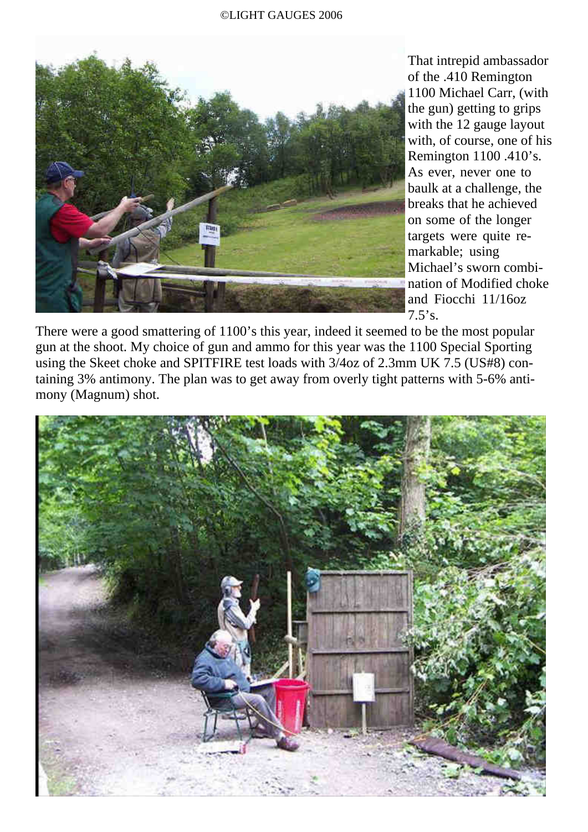

That intrepid ambassador of the .410 Remington 1100 Michael Carr, (with the gun) getting to grips with the 12 gauge layout with, of course, one of his Remington 1100 .410's. As ever, never one to baulk at a challenge, the breaks that he achieved on some of the longer targets were quite remarkable; using Michael's sworn combination of Modified choke and Fiocchi 11/16oz  $7.5$ 's.

There were a good smattering of 1100's this year, indeed it seemed to be the most popular gun at the shoot. My choice of gun and ammo for this year was the 1100 Special Sporting using the Skeet choke and SPITFIRE test loads with 3/4oz of 2.3mm UK 7.5 (US#8) containing 3% antimony. The plan was to get away from overly tight patterns with 5-6% antimony (Magnum) shot.